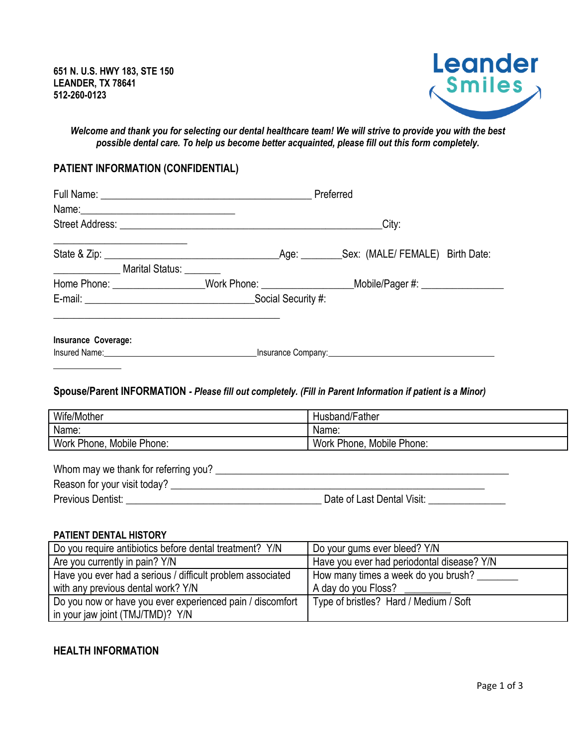

*Welcome and thank you for selecting our dental healthcare team! We will strive to provide you with the best possible dental care. To help us become better acquainted, please fill out this form completely.*

# **PATIENT INFORMATION (CONFIDENTIAL)**

|                                                                                                                | Preferred                                                                                                  |  |  |
|----------------------------------------------------------------------------------------------------------------|------------------------------------------------------------------------------------------------------------|--|--|
| Name: 2008 2010 2021 2022 2023 2024 2022 2022 2023 2024 2022 2023 2024 2022 2023 2024 2022 2023 2024 2022 2023 |                                                                                                            |  |  |
|                                                                                                                | City:                                                                                                      |  |  |
|                                                                                                                |                                                                                                            |  |  |
|                                                                                                                |                                                                                                            |  |  |
| _____________________ Marital Status: _________                                                                |                                                                                                            |  |  |
|                                                                                                                | Home Phone: ___________________Work Phone: ____________________Mobile/Pager #: ____________________        |  |  |
|                                                                                                                |                                                                                                            |  |  |
|                                                                                                                |                                                                                                            |  |  |
|                                                                                                                |                                                                                                            |  |  |
| Insurance Coverage:                                                                                            |                                                                                                            |  |  |
|                                                                                                                |                                                                                                            |  |  |
|                                                                                                                |                                                                                                            |  |  |
|                                                                                                                |                                                                                                            |  |  |
|                                                                                                                | Spouse/Parent INFORMATION - Please fill out completely. (Fill in Parent Information if patient is a Minor) |  |  |
| Wife/Mother                                                                                                    | Husband/Father                                                                                             |  |  |
| Name:                                                                                                          | Name:                                                                                                      |  |  |
| Work Phone, Mobile Phone:                                                                                      | Work Phone, Mobile Phone:                                                                                  |  |  |
|                                                                                                                |                                                                                                            |  |  |
|                                                                                                                |                                                                                                            |  |  |
|                                                                                                                |                                                                                                            |  |  |

Previous Dentist: \_\_\_\_\_\_\_\_\_\_\_\_\_\_\_\_\_\_\_\_\_\_\_\_\_\_\_\_\_\_\_\_\_\_\_\_\_\_ Date of Last Dental Visit: \_\_\_\_\_\_\_\_\_\_\_\_\_\_\_

#### **PATIENT DENTAL HISTORY**

| Do you require antibiotics before dental treatment? Y/N    | Do your gums ever bleed? Y/N               |
|------------------------------------------------------------|--------------------------------------------|
| Are you currently in pain? Y/N                             | Have you ever had periodontal disease? Y/N |
| Have you ever had a serious / difficult problem associated | How many times a week do you brush?        |
| with any previous dental work? Y/N                         | A day do you Floss?                        |
| Do you now or have you ever experienced pain / discomfort  | Type of bristles? Hard / Medium / Soft     |
| in your jaw joint (TMJ/TMD)? Y/N                           |                                            |

## **HEALTH INFORMATION**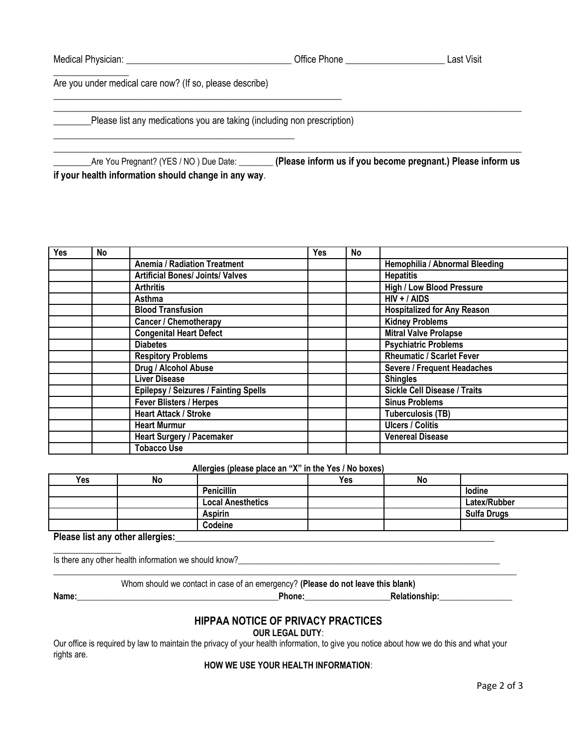| Medical Physician: | Office Phone | ∟ast Visit |
|--------------------|--------------|------------|
|                    |              |            |

Are you under medical care now? (If so, please describe)

\_\_\_\_\_\_\_\_\_\_\_\_\_\_\_\_\_\_\_\_\_\_\_\_\_\_\_\_\_\_\_\_\_\_\_\_\_\_\_\_\_\_\_\_\_\_\_\_\_\_\_

**EXECT** Please list any medications you are taking (including non prescription)

\_\_\_\_\_\_\_\_\_\_\_\_\_\_\_\_\_\_\_\_\_\_\_\_\_\_\_\_\_\_\_\_\_\_\_\_\_\_\_\_\_\_\_\_\_\_\_\_\_\_\_\_\_\_\_\_\_\_\_\_\_

| _Are You Pregnant? (YES / NO) Due Date:              | . (Please inform us if you become pregnant.) Please inform us |
|------------------------------------------------------|---------------------------------------------------------------|
| if your health information should change in any way. |                                                               |

 $\_$  , and the set of the set of the set of the set of the set of the set of the set of the set of the set of the set of the set of the set of the set of the set of the set of the set of the set of the set of the set of th

 $\_$  , and the set of the set of the set of the set of the set of the set of the set of the set of the set of the set of the set of the set of the set of the set of the set of the set of the set of the set of the set of th

| <b>Yes</b> | <b>No</b>                                              |                                              | Yes | No             |                                     |
|------------|--------------------------------------------------------|----------------------------------------------|-----|----------------|-------------------------------------|
|            |                                                        | <b>Anemia / Radiation Treatment</b>          |     |                | Hemophilia / Abnormal Bleeding      |
|            |                                                        | <b>Artificial Bones/ Joints/ Valves</b>      |     |                | <b>Hepatitis</b>                    |
|            |                                                        | <b>Arthritis</b>                             |     |                | <b>High / Low Blood Pressure</b>    |
|            |                                                        | Asthma                                       |     | $HIV + / AIDS$ |                                     |
|            |                                                        | <b>Blood Transfusion</b>                     |     |                | <b>Hospitalized for Any Reason</b>  |
|            | <b>Kidney Problems</b><br><b>Cancer / Chemotherapy</b> |                                              |     |                |                                     |
|            |                                                        | <b>Congenital Heart Defect</b>               |     |                | <b>Mitral Valve Prolapse</b>        |
|            |                                                        | <b>Diabetes</b>                              |     |                | <b>Psychiatric Problems</b>         |
|            |                                                        | <b>Respitory Problems</b>                    |     |                | <b>Rheumatic / Scarlet Fever</b>    |
|            |                                                        | Drug / Alcohol Abuse                         |     |                | <b>Severe / Frequent Headaches</b>  |
|            |                                                        | Liver Disease                                |     |                | <b>Shingles</b>                     |
|            |                                                        | <b>Epilepsy / Seizures / Fainting Spells</b> |     |                | <b>Sickle Cell Disease / Traits</b> |
|            |                                                        | <b>Fever Blisters / Herpes</b>               |     |                | <b>Sinus Problems</b>               |
|            |                                                        | <b>Heart Attack / Stroke</b>                 |     |                | <b>Tuberculosis (TB)</b>            |
|            |                                                        | <b>Heart Murmur</b>                          |     |                | <b>Ulcers / Colitis</b>             |
|            |                                                        | <b>Heart Surgery / Pacemaker</b>             |     |                | <b>Venereal Disease</b>             |
|            |                                                        | <b>Tobacco Use</b>                           |     |                |                                     |

**Allergies (please place an "X" in the Yes / No boxes)**

| Yes | <b>No</b> | . .                      | Yes | No |                    |
|-----|-----------|--------------------------|-----|----|--------------------|
|     |           | <b>Penicillin</b>        |     |    | lodine             |
|     |           | <b>Local Anesthetics</b> |     |    | Latex/Rubber       |
|     |           | <b>Aspirin</b>           |     |    | <b>Sulfa Drugs</b> |
|     |           | Codeine                  |     |    |                    |

**Please list any other allergies:** 

Is there any other health information we should know?\_\_\_\_\_\_\_\_\_\_\_\_\_\_\_\_\_\_\_\_\_\_\_\_\_\_\_\_\_\_\_\_\_\_\_\_\_\_\_\_\_\_\_\_\_\_\_\_\_\_\_\_\_\_\_\_\_\_\_\_\_

Whom should we contact in case of an emergency? **(Please do not leave this blank)**

\_\_\_\_\_\_\_\_\_\_\_\_\_\_\_\_\_\_\_\_\_\_\_\_\_\_\_\_\_\_\_\_\_\_\_\_\_\_\_\_\_\_\_\_\_\_\_\_\_\_\_\_\_\_\_\_\_\_\_\_\_\_\_\_\_\_\_\_\_\_\_\_\_\_\_\_\_\_\_\_\_\_\_\_\_\_\_\_\_\_\_\_\_\_\_\_\_\_\_\_\_\_\_\_\_\_\_\_

**Name:\_\_\_\_\_\_\_\_\_\_\_\_\_\_\_\_\_\_\_\_\_\_\_\_\_\_\_\_\_\_\_\_\_\_\_\_\_\_\_\_\_\_\_\_\_\_\_Phone:\_\_\_\_\_\_\_\_\_\_\_\_\_\_\_\_\_\_\_\_Relationship:\_\_\_\_\_\_\_\_\_\_\_\_\_\_\_\_\_**

# **HIPPAA NOTICE OF PRIVACY PRACTICES**

**OUR LEGAL DUTY**:

Our office is required by law to maintain the privacy of your health information, to give you notice about how we do this and what your rights are.

#### **HOW WE USE YOUR HEALTH INFORMATION**: